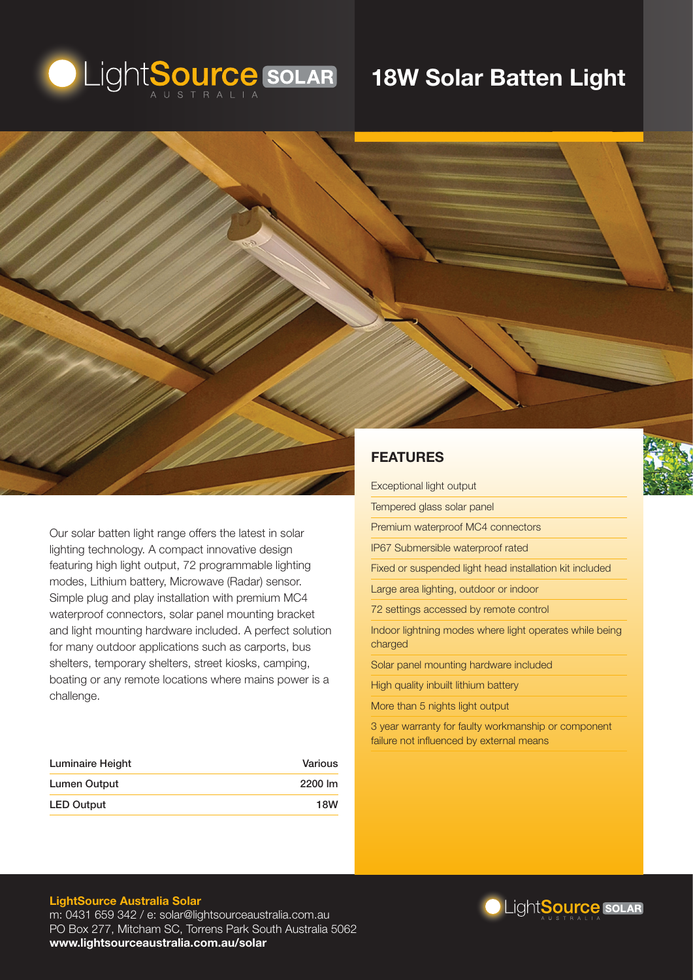

# **18W Solar Batten Light**



Our solar batten light range offers the latest in solar lighting technology. A compact innovative design featuring high light output, 72 programmable lighting modes, Lithium battery, Microwave (Radar) sensor. Simple plug and play installation with premium MC4 waterproof connectors, solar panel mounting bracket and light mounting hardware included. A perfect solution for many outdoor applications such as carports, bus shelters, temporary shelters, street kiosks, camping, boating or any remote locations where mains power is a challenge.

| Luminaire Height  | Various    |
|-------------------|------------|
| Lumen Output      | 2200 lm    |
| <b>LED Output</b> | <b>18W</b> |

Tempered glass solar panel Premium waterproof MC4 connectors IP67 Submersible waterproof rated Fixed or suspended light head installation kit included Large area lighting, outdoor or indoor 72 settings accessed by remote control Indoor lightning modes where light operates while being charged Solar panel mounting hardware included High quality inbuilt lithium battery

More than 5 nights light output

3 year warranty for faulty workmanship or component failure not influenced by external means

#### **LightSource Australia Solar**

m: 0431 659 342 / e: solar@lightsourceaustralia.com.au PO Box 277, Mitcham SC, Torrens Park South Australia 5062 **www.lightsourceaustralia.com.au/solar**